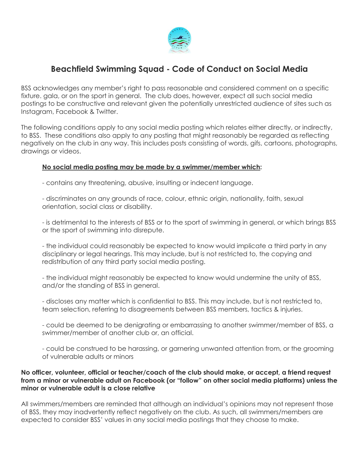

## **Beachfield Swimming Squad - Code of Conduct on Social Media**

BSS acknowledges any member's right to pass reasonable and considered comment on a specific fixture. gala, or on the sport in general. The club does, however, expect all such social media postings to be constructive and relevant given the potentially unrestricted audience of sites such as Instagram, Facebook & Twitter.

The following conditions apply to any social media posting which relates either directly, or indirectly, to BSS. These conditions also apply to any posting that might reasonably be regarded as reflecting negatively on the club in any way. This includes posts consisting of words, gifs, cartoons, photographs, drawings or videos.

## **No social media posting may be made by a swimmer/member which:**

- contains any threatening, abusive, insulting or indecent language.

- discriminates on any grounds of race, colour, ethnic origin, nationality, faith, sexual orientation, social class or disability.

- is detrimental to the interests of BSS or to the sport of swimming in general, or which brings BSS or the sport of swimming into disrepute.

- the individual could reasonably be expected to know would implicate a third party in any disciplinary or legal hearings. This may include, but is not restricted to, the copying and redistribution of any third party social media posting.

- the individual might reasonably be expected to know would undermine the unity of BSS, and/or the standing of BSS in general.

- discloses any matter which is confidential to BSS. This may include, but is not restricted to, team selection, referring to disagreements between BSS members, tactics & injuries.

- could be deemed to be denigrating or embarrassing to another swimmer/member of BSS, a swimmer/member of another club or, an official.

- could be construed to be harassing, or garnering unwanted attention from, or the grooming of vulnerable adults or minors

## **No officer, volunteer, official or teacher/coach of the club should make, or accept, a friend request from a minor or vulnerable adult on Facebook (or "follow" on other social media platforms) unless the minor or vulnerable adult is a close relative**

All swimmers/members are reminded that although an individual's opinions may not represent those of BSS, they may inadvertently reflect negatively on the club. As such, all swimmers/members are expected to consider BSS' values in any social media postings that they choose to make.